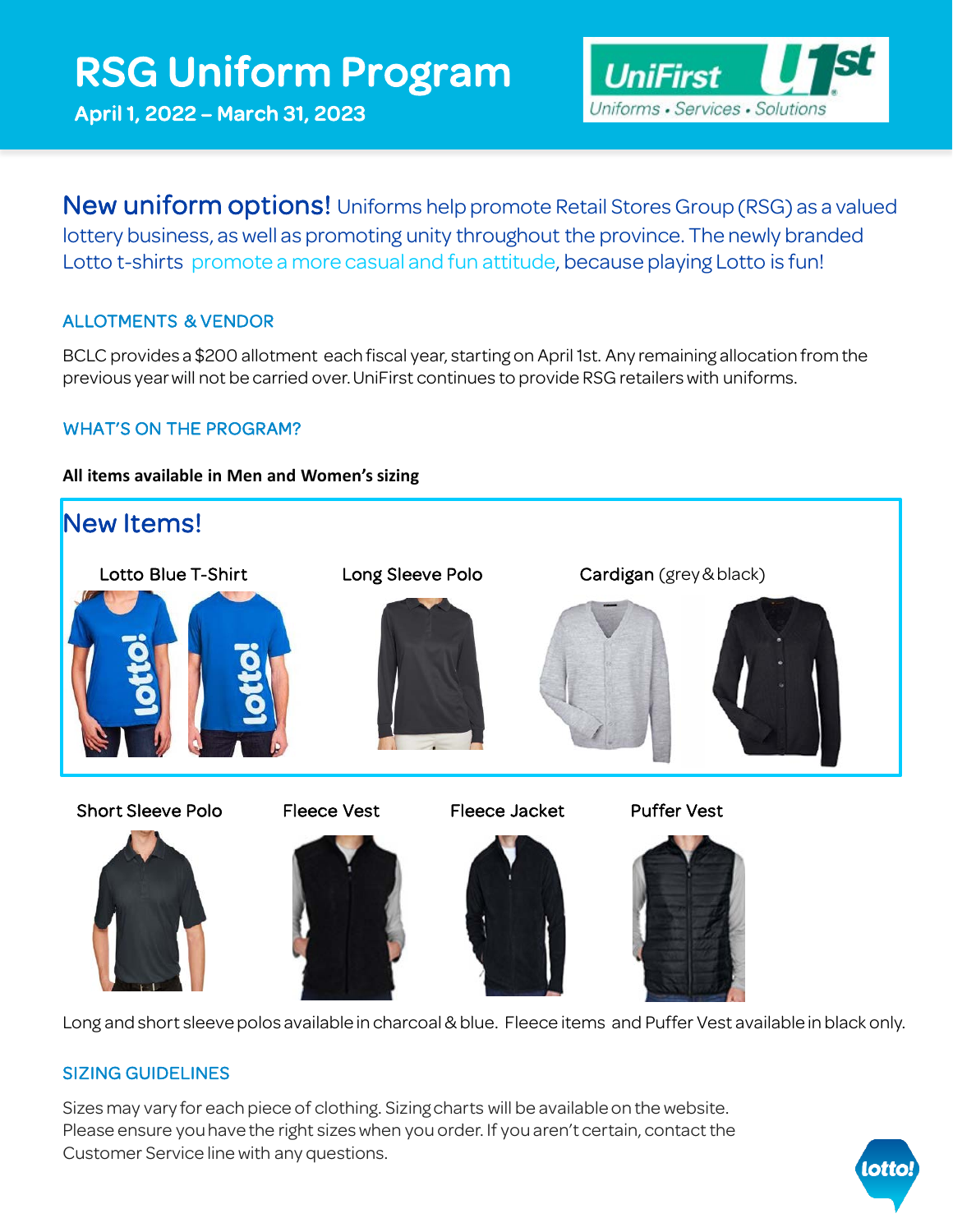# RSG Uniform Program

April 1, 2022 – March 31, 2023



**New uniform options!** Uniforms help promote Retail Stores Group (RSG) as a valued lottery business, as well as promoting unity throughout the province. The newly branded Lotto t-shirts promote a more casual and fun attitude, because playing Lotto is fun!

## ALLOTMENTS & VENDOR

BCLC provides a \$200 allotment each fiscal year, starting on April 1st. Any remaining allocation from the previous year will not be carried over. UniFirst continues to provide RSG retailers with uniforms.

### WHAT'S ON THE PROGRAM?

#### **All items available in Men and Women's sizing**



Long and short sleeve polos available in charcoal & blue. Fleece items and Puffer Vest available in black only.

### SIZING GUIDELINES

Sizes may vary for each piece of clothing. Sizing charts will be available on the website. Please ensure you have the right sizes when you order. If you aren't certain, contact the Customer Service line with any questions.